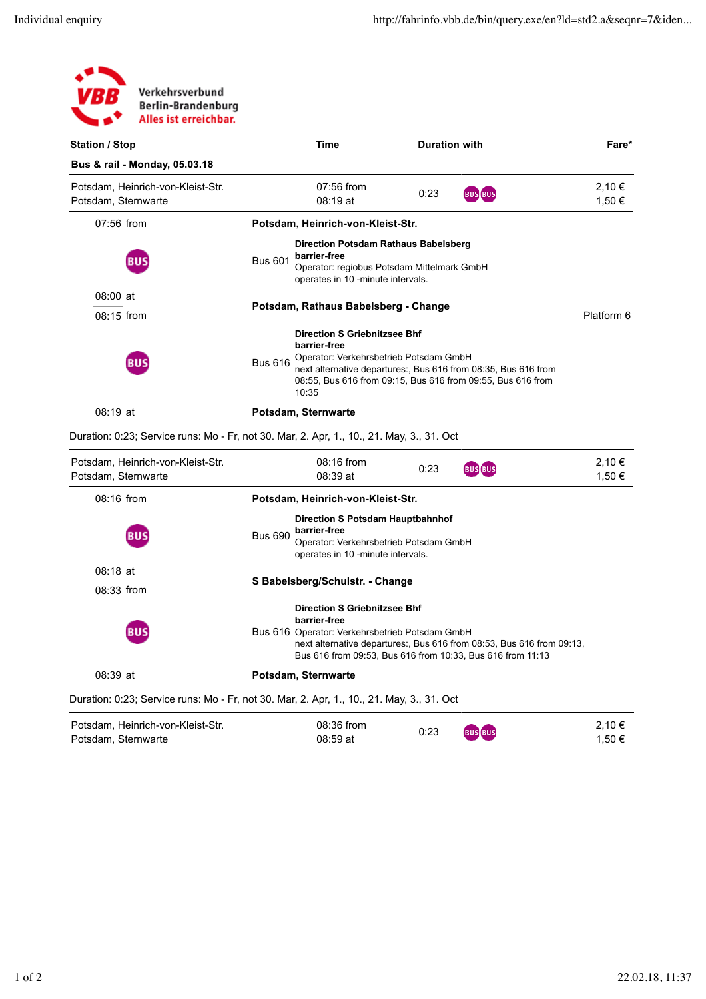| <b>VBB</b>               | Verkehrsverbund<br><b>Berlin-Brandenburg</b><br>Alles ist erreichbar.                     |                |                                                                                                                                                |                      |                                                                                                                               |                 |
|--------------------------|-------------------------------------------------------------------------------------------|----------------|------------------------------------------------------------------------------------------------------------------------------------------------|----------------------|-------------------------------------------------------------------------------------------------------------------------------|-----------------|
| <b>Station / Stop</b>    |                                                                                           |                | Time                                                                                                                                           | <b>Duration with</b> |                                                                                                                               | Fare*           |
|                          | Bus & rail - Monday, 05.03.18                                                             |                |                                                                                                                                                |                      |                                                                                                                               |                 |
| Potsdam, Sternwarte      | Potsdam, Heinrich-von-Kleist-Str.                                                         |                | 07:56 from<br>$08:19$ at                                                                                                                       | 0:23                 | <b>BUS BUS</b>                                                                                                                | 2,10€<br>1,50 € |
| 07:56 from               |                                                                                           |                | Potsdam, Heinrich-von-Kleist-Str.                                                                                                              |                      |                                                                                                                               |                 |
|                          | <b>BUS</b>                                                                                | <b>Bus 601</b> | <b>Direction Potsdam Rathaus Babelsberg</b><br>barrier-free<br>Operator: regiobus Potsdam Mittelmark GmbH<br>operates in 10 -minute intervals. |                      |                                                                                                                               |                 |
| 08:00 at<br>$08:15$ from |                                                                                           |                | Potsdam, Rathaus Babelsberg - Change                                                                                                           |                      |                                                                                                                               | Platform 6      |
|                          | BUS                                                                                       | <b>Bus 616</b> | <b>Direction S Griebnitzsee Bhf</b><br>barrier-free<br>Operator: Verkehrsbetrieb Potsdam GmbH<br>10:35                                         |                      | next alternative departures:, Bus 616 from 08:35, Bus 616 from<br>08:55, Bus 616 from 09:15, Bus 616 from 09:55, Bus 616 from |                 |
| $08:19$ at               |                                                                                           |                | Potsdam, Sternwarte                                                                                                                            |                      |                                                                                                                               |                 |
|                          | Duration: 0:23; Service runs: Mo - Fr, not 30. Mar, 2. Apr, 1., 10., 21. May, 3., 31. Oct |                |                                                                                                                                                |                      |                                                                                                                               |                 |

| Potsdam, Heinrich-von-Kleist-Str.<br>Potsdam, Sternwarte                                  |                                                                                                                                                                                                                                              | 08:16 from<br>08:39 at | 0:23 |  | 2,10€<br>1,50 € |  |  |
|-------------------------------------------------------------------------------------------|----------------------------------------------------------------------------------------------------------------------------------------------------------------------------------------------------------------------------------------------|------------------------|------|--|-----------------|--|--|
| 08:16 from                                                                                | Potsdam, Heinrich-von-Kleist-Str.                                                                                                                                                                                                            |                        |      |  |                 |  |  |
| <b>BUS</b>                                                                                | Direction S Potsdam Hauptbahnhof<br>barrier-free<br><b>Bus 690</b><br>Operator: Verkehrsbetrieb Potsdam GmbH<br>operates in 10 -minute intervals.                                                                                            |                        |      |  |                 |  |  |
| 08:18 at                                                                                  |                                                                                                                                                                                                                                              |                        |      |  |                 |  |  |
| 08:33 from                                                                                | S Babelsberg/Schulstr. - Change                                                                                                                                                                                                              |                        |      |  |                 |  |  |
| <b>BUS</b>                                                                                | <b>Direction S Griebnitzsee Bhf</b><br>barrier-free<br>Bus 616 Operator: Verkehrsbetrieb Potsdam GmbH<br>next alternative departures:, Bus 616 from 08:53, Bus 616 from 09:13,<br>Bus 616 from 09:53, Bus 616 from 10:33, Bus 616 from 11:13 |                        |      |  |                 |  |  |
| $08:39$ at                                                                                | Potsdam, Sternwarte                                                                                                                                                                                                                          |                        |      |  |                 |  |  |
| Duration: 0:23; Service runs: Mo - Fr, not 30. Mar, 2. Apr, 1., 10., 21. May, 3., 31. Oct |                                                                                                                                                                                                                                              |                        |      |  |                 |  |  |
| Potsdam, Heinrich-von-Kleist-Str.<br>Potsdam, Sternwarte                                  |                                                                                                                                                                                                                                              | 08:36 from<br>08:59 at | 0:23 |  | 2,10€<br>1,50 € |  |  |